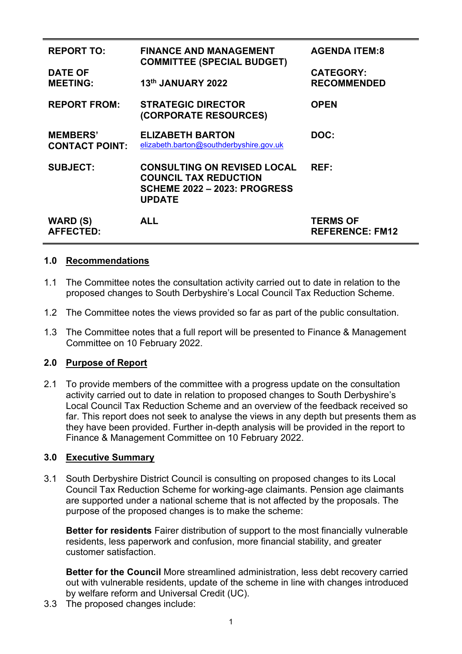| <b>REPORT TO:</b>                        | <b>FINANCE AND MANAGEMENT</b><br><b>COMMITTEE (SPECIAL BUDGET)</b>                                                         | <b>AGENDA ITEM:8</b>                      |
|------------------------------------------|----------------------------------------------------------------------------------------------------------------------------|-------------------------------------------|
| <b>DATE OF</b><br><b>MEETING:</b>        | 13th JANUARY 2022                                                                                                          | <b>CATEGORY:</b><br><b>RECOMMENDED</b>    |
| <b>REPORT FROM:</b>                      | <b>STRATEGIC DIRECTOR</b><br>(CORPORATE RESOURCES)                                                                         | <b>OPEN</b>                               |
| <b>MEMBERS'</b><br><b>CONTACT POINT:</b> | <b>ELIZABETH BARTON</b><br>elizabeth.barton@southderbyshire.gov.uk                                                         | DOC:                                      |
| <b>SUBJECT:</b>                          | <b>CONSULTING ON REVISED LOCAL</b><br><b>COUNCIL TAX REDUCTION</b><br><b>SCHEME 2022 - 2023: PROGRESS</b><br><b>UPDATE</b> | REF:                                      |
| <b>WARD (S)</b><br><b>AFFECTED:</b>      | <b>ALL</b>                                                                                                                 | <b>TERMS OF</b><br><b>REFERENCE: FM12</b> |

### **1.0 Recommendations**

- 1.1 The Committee notes the consultation activity carried out to date in relation to the proposed changes to South Derbyshire's Local Council Tax Reduction Scheme.
- 1.2 The Committee notes the views provided so far as part of the public consultation.
- 1.3 The Committee notes that a full report will be presented to Finance & Management Committee on 10 February 2022.

## **2.0 Purpose of Report**

2.1 To provide members of the committee with a progress update on the consultation activity carried out to date in relation to proposed changes to South Derbyshire's Local Council Tax Reduction Scheme and an overview of the feedback received so far. This report does not seek to analyse the views in any depth but presents them as they have been provided. Further in-depth analysis will be provided in the report to Finance & Management Committee on 10 February 2022.

## **3.0 Executive Summary**

3.1 South Derbyshire District Council is consulting on proposed changes to its Local Council Tax Reduction Scheme for working-age claimants. Pension age claimants are supported under a national scheme that is not affected by the proposals. The purpose of the proposed changes is to make the scheme:

 **Better for residents** Fairer distribution of support to the most financially vulnerable residents, less paperwork and confusion, more financial stability, and greater customer satisfaction.

 **Better for the Council** More streamlined administration, less debt recovery carried out with vulnerable residents, update of the scheme in line with changes introduced by welfare reform and Universal Credit (UC).

3.3 The proposed changes include: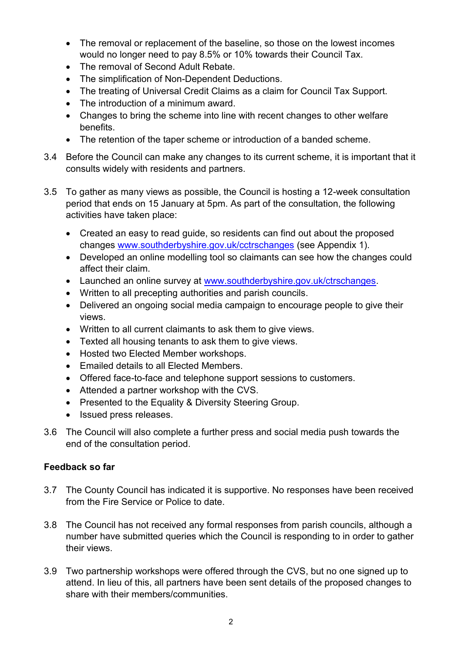- The removal or replacement of the baseline, so those on the lowest incomes would no longer need to pay 8.5% or 10% towards their Council Tax.
- The removal of Second Adult Rebate.
- The simplification of Non-Dependent Deductions.
- The treating of Universal Credit Claims as a claim for Council Tax Support.
- The introduction of a minimum award.
- Changes to bring the scheme into line with recent changes to other welfare benefits.
- The retention of the taper scheme or introduction of a banded scheme.
- 3.4 Before the Council can make any changes to its current scheme, it is important that it consults widely with residents and partners.
- 3.5 To gather as many views as possible, the Council is hosting a 12-week consultation period that ends on 15 January at 5pm. As part of the consultation, the following activities have taken place:
	- Created an easy to read guide, so residents can find out about the proposed changes [www.southderbyshire.gov.uk/cctrschanges](http://www.southderbyshire.gov.uk/cctrschanges) (see Appendix 1).
	- Developed an online modelling tool so claimants can see how the changes could affect their claim.
	- Launched an online survey at [www.southderbyshire.gov.uk/ctrschanges.](http://www.southderbyshire.gov.uk/ctrschanges)
	- Written to all precepting authorities and parish councils.
	- Delivered an ongoing social media campaign to encourage people to give their views.
	- Written to all current claimants to ask them to give views.
	- Texted all housing tenants to ask them to give views.
	- Hosted two Elected Member workshops.
	- Emailed details to all Elected Members.
	- Offered face-to-face and telephone support sessions to customers.
	- Attended a partner workshop with the CVS.
	- Presented to the Equality & Diversity Steering Group.
	- Issued press releases.
- 3.6 The Council will also complete a further press and social media push towards the end of the consultation period.

## **Feedback so far**

- 3.7 The County Council has indicated it is supportive. No responses have been received from the Fire Service or Police to date.
- 3.8 The Council has not received any formal responses from parish councils, although a number have submitted queries which the Council is responding to in order to gather their views.
- 3.9 Two partnership workshops were offered through the CVS, but no one signed up to attend. In lieu of this, all partners have been sent details of the proposed changes to share with their members/communities.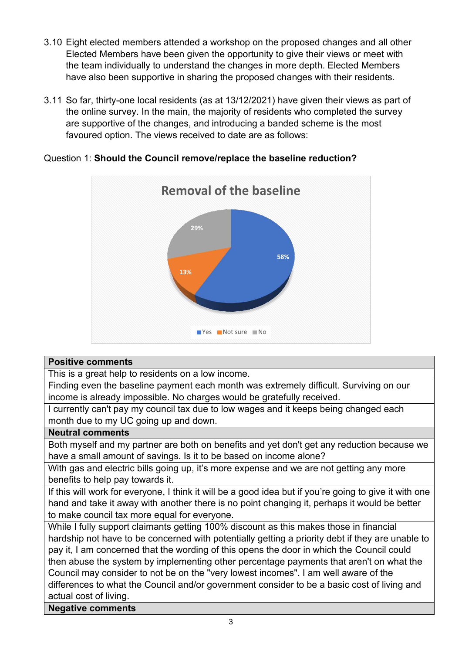- 3.10 Eight elected members attended a workshop on the proposed changes and all other Elected Members have been given the opportunity to give their views or meet with the team individually to understand the changes in more depth. Elected Members have also been supportive in sharing the proposed changes with their residents.
- 3.11 So far, thirty-one local residents (as at 13/12/2021) have given their views as part of the online survey. In the main, the majority of residents who completed the survey are supportive of the changes, and introducing a banded scheme is the most favoured option. The views received to date are as follows:



## Question 1: **Should the Council remove/replace the baseline reduction?**

### **Positive comments**

This is a great help to residents on a low income.

Finding even the baseline payment each month was extremely difficult. Surviving on our income is already impossible. No charges would be gratefully received.

I currently can't pay my council tax due to low wages and it keeps being changed each month due to my UC going up and down.

### **Neutral comments**

Both myself and my partner are both on benefits and yet don't get any reduction because we have a small amount of savings. Is it to be based on income alone?

With gas and electric bills going up, it's more expense and we are not getting any more benefits to help pay towards it.

If this will work for everyone, I think it will be a good idea but if you're going to give it with one hand and take it away with another there is no point changing it, perhaps it would be better to make council tax more equal for everyone.

While I fully support claimants getting 100% discount as this makes those in financial hardship not have to be concerned with potentially getting a priority debt if they are unable to pay it, I am concerned that the wording of this opens the door in which the Council could then abuse the system by implementing other percentage payments that aren't on what the Council may consider to not be on the "very lowest incomes". I am well aware of the differences to what the Council and/or government consider to be a basic cost of living and actual cost of living.

**Negative comments**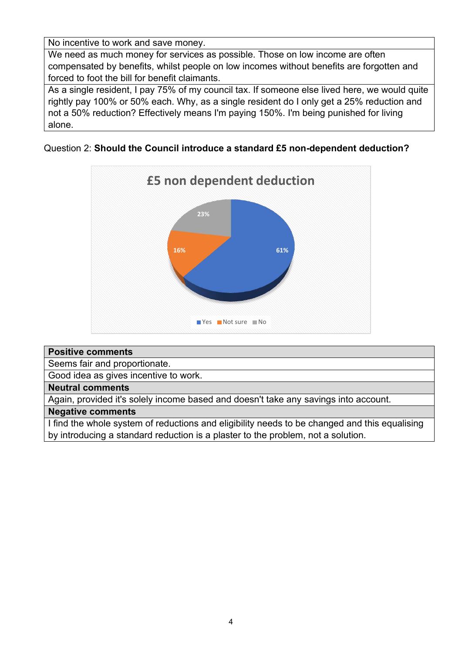No incentive to work and save money.

We need as much money for services as possible. Those on low income are often compensated by benefits, whilst people on low incomes without benefits are forgotten and forced to foot the bill for benefit claimants.

As a single resident, I pay 75% of my council tax. If someone else lived here, we would quite rightly pay 100% or 50% each. Why, as a single resident do I only get a 25% reduction and not a 50% reduction? Effectively means I'm paying 150%. I'm being punished for living alone.

Question 2: **Should the Council introduce a standard £5 non-dependent deduction?**



# **Positive comments**  Seems fair and proportionate. Good idea as gives incentive to work. **Neutral comments**  Again, provided it's solely income based and doesn't take any savings into account. **Negative comments**  I find the whole system of reductions and eligibility needs to be changed and this equalising by introducing a standard reduction is a plaster to the problem, not a solution.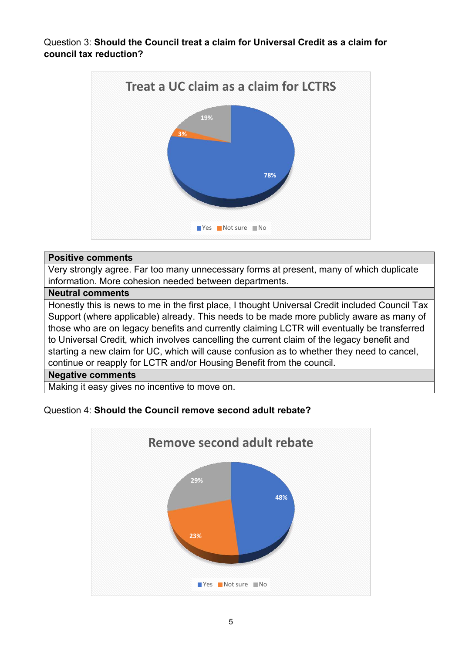Question 3: **Should the Council treat a claim for Universal Credit as a claim for council tax reduction?** 



### **Positive comments**

Very strongly agree. Far too many unnecessary forms at present, many of which duplicate information. More cohesion needed between departments.

### **Neutral comments**

Honestly this is news to me in the first place, I thought Universal Credit included Council Tax Support (where applicable) already. This needs to be made more publicly aware as many of those who are on legacy benefits and currently claiming LCTR will eventually be transferred to Universal Credit, which involves cancelling the current claim of the legacy benefit and starting a new claim for UC, which will cause confusion as to whether they need to cancel, continue or reapply for LCTR and/or Housing Benefit from the council.

### **Negative comments**

Making it easy gives no incentive to move on.

### Question 4: **Should the Council remove second adult rebate?**

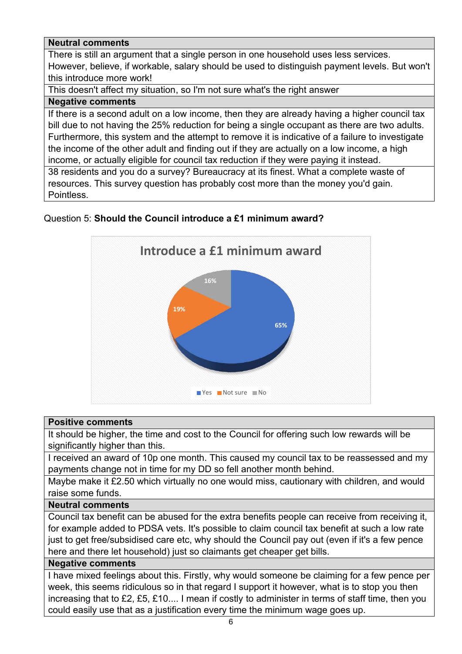## **Neutral comments**

There is still an argument that a single person in one household uses less services. However, believe, if workable, salary should be used to distinguish payment levels. But won't this introduce more work!

This doesn't affect my situation, so I'm not sure what's the right answer

### **Negative comments**

If there is a second adult on a low income, then they are already having a higher council tax bill due to not having the 25% reduction for being a single occupant as there are two adults. Furthermore, this system and the attempt to remove it is indicative of a failure to investigate the income of the other adult and finding out if they are actually on a low income, a high income, or actually eligible for council tax reduction if they were paying it instead.

38 residents and you do a survey? Bureaucracy at its finest. What a complete waste of resources. This survey question has probably cost more than the money you'd gain. Pointless.

# Question 5: **Should the Council introduce a £1 minimum award?**



### **Positive comments**

It should be higher, the time and cost to the Council for offering such low rewards will be significantly higher than this.

I received an award of 10p one month. This caused my council tax to be reassessed and my payments change not in time for my DD so fell another month behind.

Maybe make it £2.50 which virtually no one would miss, cautionary with children, and would raise some funds.

## **Neutral comments**

Council tax benefit can be abused for the extra benefits people can receive from receiving it, for example added to PDSA vets. It's possible to claim council tax benefit at such a low rate just to get free/subsidised care etc, why should the Council pay out (even if it's a few pence here and there let household) just so claimants get cheaper get bills.

## **Negative comments**

I have mixed feelings about this. Firstly, why would someone be claiming for a few pence per week, this seems ridiculous so in that regard I support it however, what is to stop you then increasing that to £2, £5, £10.... I mean if costly to administer in terms of staff time, then you could easily use that as a justification every time the minimum wage goes up.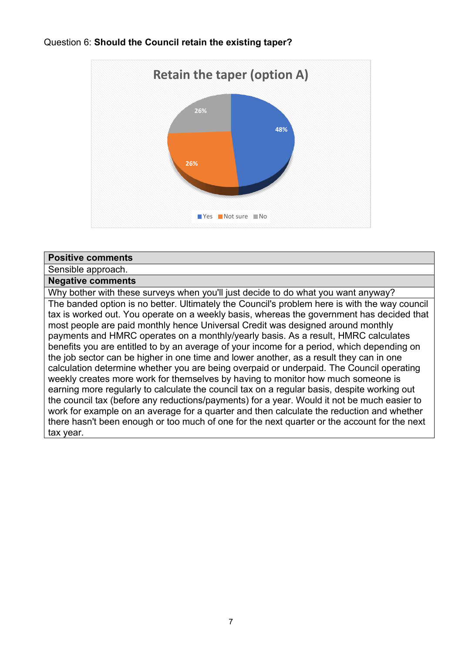### Question 6: **Should the Council retain the existing taper?**



#### **Positive comments**

#### Sensible approach.

### **Negative comments**

Why bother with these surveys when you'll just decide to do what you want anyway? The banded option is no better. Ultimately the Council's problem here is with the way council tax is worked out. You operate on a weekly basis, whereas the government has decided that most people are paid monthly hence Universal Credit was designed around monthly payments and HMRC operates on a monthly/yearly basis. As a result, HMRC calculates benefits you are entitled to by an average of your income for a period, which depending on the job sector can be higher in one time and lower another, as a result they can in one calculation determine whether you are being overpaid or underpaid. The Council operating weekly creates more work for themselves by having to monitor how much someone is earning more regularly to calculate the council tax on a regular basis, despite working out the council tax (before any reductions/payments) for a year. Would it not be much easier to work for example on an average for a quarter and then calculate the reduction and whether there hasn't been enough or too much of one for the next quarter or the account for the next tax year.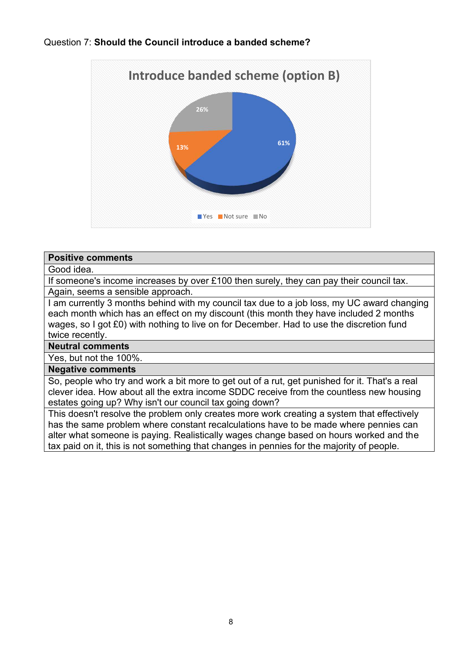### Question 7: **Should the Council introduce a banded scheme?**



#### **Positive comments**

### Good idea.

If someone's income increases by over £100 then surely, they can pay their council tax. Again, seems a sensible approach.

I am currently 3 months behind with my council tax due to a job loss, my UC award changing each month which has an effect on my discount (this month they have included 2 months wages, so I got £0) with nothing to live on for December. Had to use the discretion fund twice recently.

### **Neutral comments**

Yes, but not the 100%.

#### **Negative comments**

So, people who try and work a bit more to get out of a rut, get punished for it. That's a real clever idea. How about all the extra income SDDC receive from the countless new housing estates going up? Why isn't our council tax going down?

This doesn't resolve the problem only creates more work creating a system that effectively has the same problem where constant recalculations have to be made where pennies can alter what someone is paying. Realistically wages change based on hours worked and the tax paid on it, this is not something that changes in pennies for the majority of people.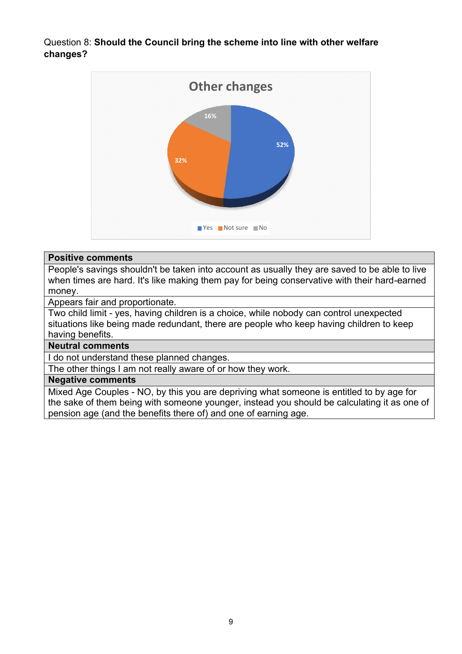Question 8: **Should the Council bring the scheme into line with other welfare changes?** 



### **Positive comments**

People's savings shouldn't be taken into account as usually they are saved to be able to live when times are hard. It's like making them pay for being conservative with their hard-earned money.

Appears fair and proportionate.

Two child limit - yes, having children is a choice, while nobody can control unexpected situations like being made redundant, there are people who keep having children to keep having benefits.

## **Neutral comments**

I do not understand these planned changes.

The other things I am not really aware of or how they work.

### **Negative comments**

Mixed Age Couples - NO, by this you are depriving what someone is entitled to by age for the sake of them being with someone younger, instead you should be calculating it as one of pension age (and the benefits there of) and one of earning age.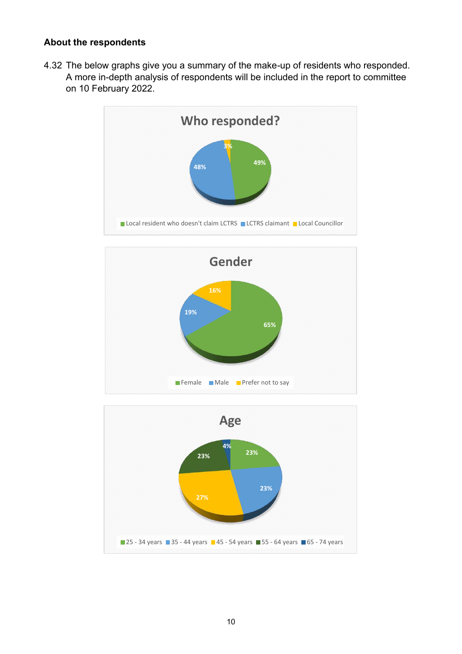### **About the respondents**

4.32 The below graphs give you a summary of the make-up of residents who responded. A more in-depth analysis of respondents will be included in the report to committee on 10 February 2022.





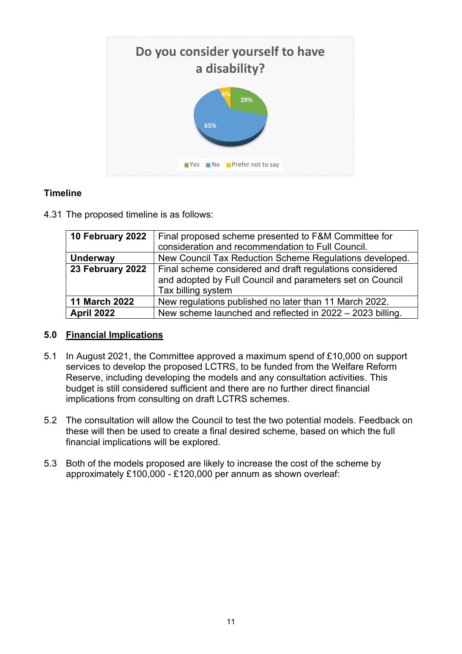

# **Timeline**

4.31 The proposed timeline is as follows:

| 10 February 2022     | Final proposed scheme presented to F&M Committee for<br>consideration and recommendation to Full Council.                                   |
|----------------------|---------------------------------------------------------------------------------------------------------------------------------------------|
| <b>Underway</b>      | New Council Tax Reduction Scheme Regulations developed.                                                                                     |
| 23 February 2022     | Final scheme considered and draft regulations considered<br>and adopted by Full Council and parameters set on Council<br>Tax billing system |
| <b>11 March 2022</b> | New regulations published no later than 11 March 2022.                                                                                      |
| <b>April 2022</b>    | New scheme launched and reflected in 2022 - 2023 billing.                                                                                   |

## **5.0 Financial Implications**

- 5.1 In August 2021, the Committee approved a maximum spend of £10,000 on support services to develop the proposed LCTRS, to be funded from the Welfare Reform Reserve, including developing the models and any consultation activities. This budget is still considered sufficient and there are no further direct financial implications from consulting on draft LCTRS schemes.
- 5.2 The consultation will allow the Council to test the two potential models. Feedback on these will then be used to create a final desired scheme, based on which the full financial implications will be explored.
- 5.3 Both of the models proposed are likely to increase the cost of the scheme by approximately £100,000 - £120,000 per annum as shown overleaf: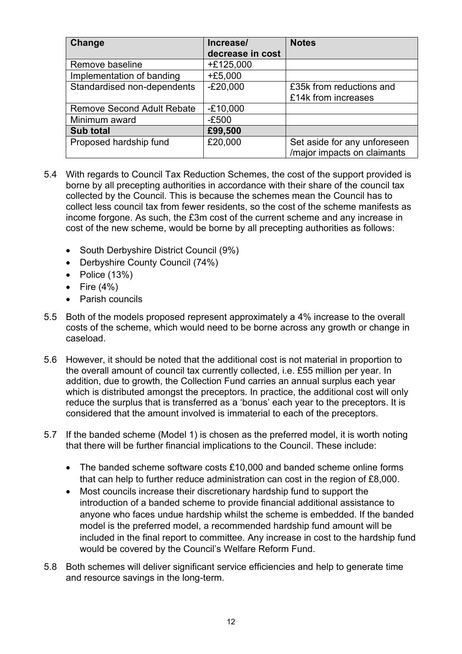| <b>Change</b>                     | Increase/        | <b>Notes</b>                 |
|-----------------------------------|------------------|------------------------------|
|                                   | decrease in cost |                              |
| Remove baseline                   | $+£125,000$      |                              |
| Implementation of banding         | $+£5,000$        |                              |
| Standardised non-dependents       | $-E20,000$       | £35k from reductions and     |
|                                   |                  | £14k from increases          |
| <b>Remove Second Adult Rebate</b> | $-£10,000$       |                              |
| Minimum award                     | $-E500$          |                              |
| Sub total                         | £99,500          |                              |
| Proposed hardship fund            | £20,000          | Set aside for any unforeseen |
|                                   |                  | /major impacts on claimants  |

- 5.4 With regards to Council Tax Reduction Schemes, the cost of the support provided is borne by all precepting authorities in accordance with their share of the council tax collected by the Council. This is because the schemes mean the Council has to collect less council tax from fewer residents, so the cost of the scheme manifests as income forgone. As such, the £3m cost of the current scheme and any increase in cost of the new scheme, would be borne by all precepting authorities as follows:
	- South Derbyshire District Council (9%)
	- Derbyshire County Council (74%)
	- Police (13%)
	- Fire  $(4\%)$
	- Parish councils
- 5.5 Both of the models proposed represent approximately a 4% increase to the overall costs of the scheme, which would need to be borne across any growth or change in caseload.
- 5.6 However, it should be noted that the additional cost is not material in proportion to the overall amount of council tax currently collected, i.e. £55 million per year. In addition, due to growth, the Collection Fund carries an annual surplus each year which is distributed amongst the preceptors. In practice, the additional cost will only reduce the surplus that is transferred as a 'bonus' each year to the preceptors. It is considered that the amount involved is immaterial to each of the preceptors.
- 5.7 If the banded scheme (Model 1) is chosen as the preferred model, it is worth noting that there will be further financial implications to the Council. These include:
	- The banded scheme software costs £10,000 and banded scheme online forms that can help to further reduce administration can cost in the region of £8,000.
	- Most councils increase their discretionary hardship fund to support the introduction of a banded scheme to provide financial additional assistance to anyone who faces undue hardship whilst the scheme is embedded. If the banded model is the preferred model, a recommended hardship fund amount will be included in the final report to committee. Any increase in cost to the hardship fund would be covered by the Council's Welfare Reform Fund.
- 5.8 Both schemes will deliver significant service efficiencies and help to generate time and resource savings in the long-term.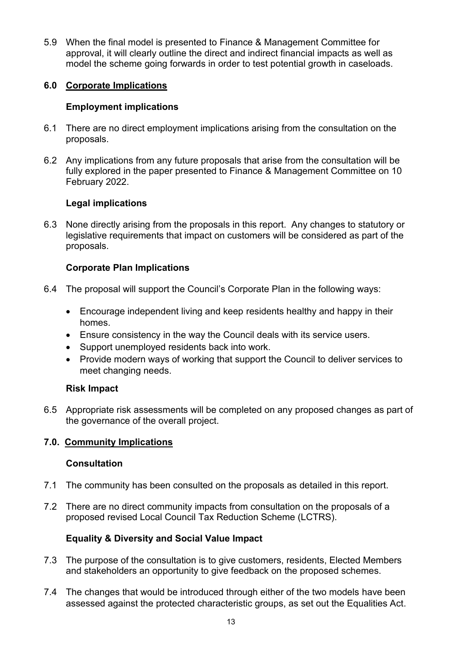5.9 When the final model is presented to Finance & Management Committee for approval, it will clearly outline the direct and indirect financial impacts as well as model the scheme going forwards in order to test potential growth in caseloads.

## **6.0 Corporate Implications**

## **Employment implications**

- 6.1 There are no direct employment implications arising from the consultation on the proposals.
- 6.2 Any implications from any future proposals that arise from the consultation will be fully explored in the paper presented to Finance & Management Committee on 10 February 2022.

# **Legal implications**

6.3 None directly arising from the proposals in this report. Any changes to statutory or legislative requirements that impact on customers will be considered as part of the proposals.

# **Corporate Plan Implications**

- 6.4 The proposal will support the Council's Corporate Plan in the following ways:
	- Encourage independent living and keep residents healthy and happy in their homes.
	- Ensure consistency in the way the Council deals with its service users.
	- Support unemployed residents back into work.
	- Provide modern ways of working that support the Council to deliver services to meet changing needs.

## **Risk Impact**

6.5 Appropriate risk assessments will be completed on any proposed changes as part of the governance of the overall project.

## **7.0. Community Implications**

## **Consultation**

- 7.1 The community has been consulted on the proposals as detailed in this report.
- 7.2 There are no direct community impacts from consultation on the proposals of a proposed revised Local Council Tax Reduction Scheme (LCTRS).

## **Equality & Diversity and Social Value Impact**

- 7.3 The purpose of the consultation is to give customers, residents, Elected Members and stakeholders an opportunity to give feedback on the proposed schemes.
- 7.4 The changes that would be introduced through either of the two models have been assessed against the protected characteristic groups, as set out the Equalities Act.